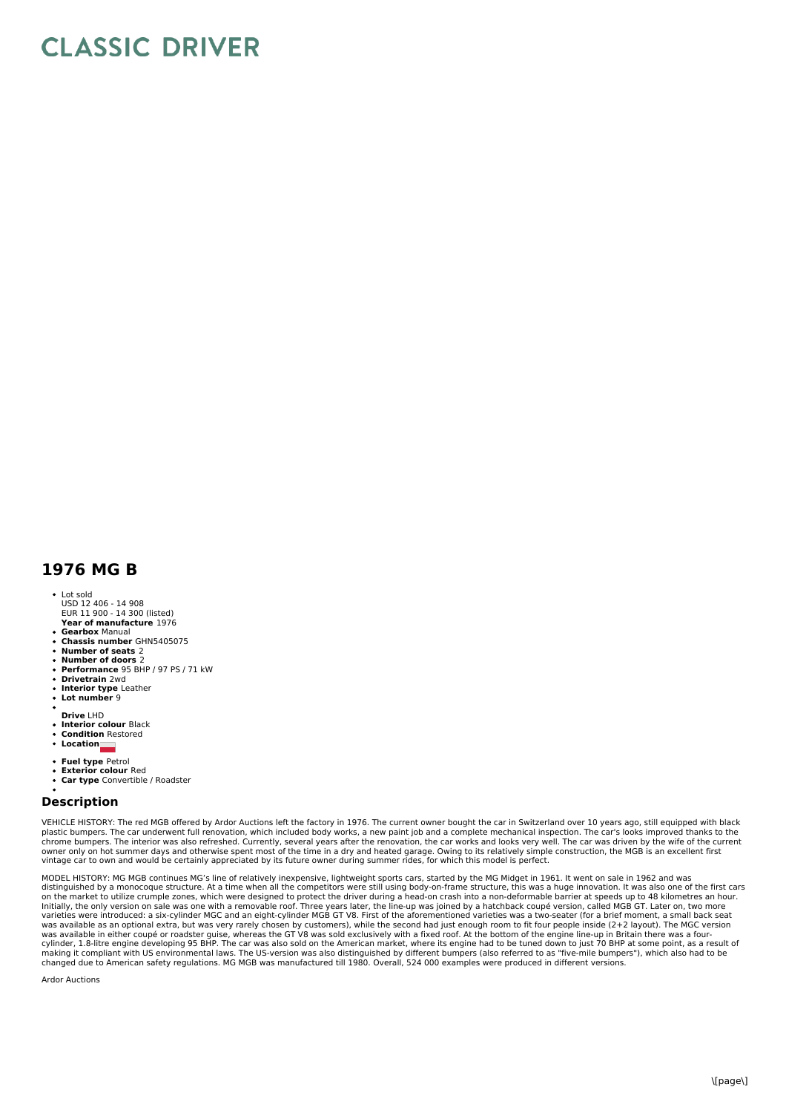## **CLASSIC DRIVER**

## **1976 MG B**

- **Year of manufacture** 1976 Lot sold USD 12 406 - 14 908 EUR 11 900 - 14 300 (listed)
- **Gearbox** Manual
- **Chassis number** GHN5405075
- 
- **Number of seats** 2 **Number of doors** 2
- **Performance** 95 BHP / 97 PS / 71 kW
- **Drivetrain** 2wd
- **Interior type** Leather **Lot number** 9
- 
- **Drive** LHD
- **Interior colour** Black
- **Condition** Restored
- **Location**
- **Fuel type** Petrol
- $\ddot{\phantom{a}}$
- **Exterior colour** Red **Car type** Convertible / Roadster

## **Description**

VEHICLE HISTORY: The red MGB offered by Ardor Auctions left the factory in 1976. The current owner bought the car in Switzerland over 10 years ago, still equipped with black<br>plastic bumpers. The interior was also refreshed

MODEL HISTORY: MG MGB continues MG's line of relatively inexpensive, lightweight sports cars, started by the MG Midget in 1961. It went on sale in 1962 and was<br>distinguished by a monocoque structure. At a time when all the on the market to utilize crumple zones, which were designed to protect the driver during a head-on crash into a non-deformable barrier at speeds up to 48 kilometres an hour.<br>Initially, the only version on sale was one with varieties were introduced: a six-cylinder MGC and an eight-cylinder MGB GT V8. First of the aforementioned varieties was a two-seater (for a brief moment, a small back seat<br>was available as an optional extra, but was very

Ardor Auctions